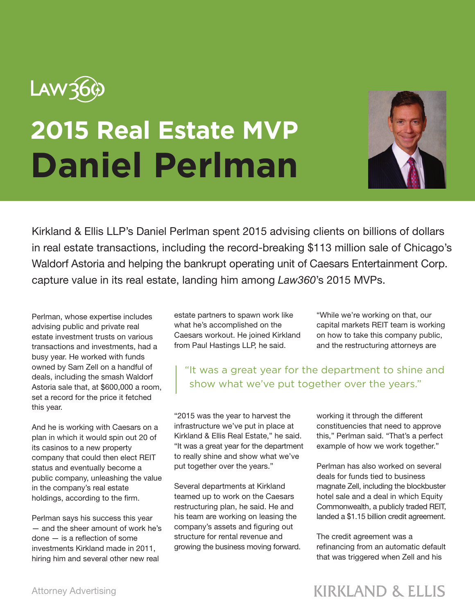

## **2015 Real Estate MVP Daniel Perlman**



Kirkland & Ellis LLP's Daniel Perlman spent 2015 advising clients on billions of dollars in real estate transactions, including the record-breaking \$113 million sale of Chicago's Waldorf Astoria and helping the bankrupt operating unit of Caesars Entertainment Corp. capture value in its real estate, landing him among *Law360*'s 2015 MVPs.

Perlman, whose expertise includes advising public and private real estate investment trusts on various transactions and investments, had a busy year. He worked with funds owned by Sam Zell on a handful of deals, including the smash Waldorf Astoria sale that, at \$600,000 a room, set a record for the price it fetched this year.

And he is working with Caesars on a plan in which it would spin out 20 of its casinos to a new property company that could then elect REIT status and eventually become a public company, unleashing the value in the company's real estate holdings, according to the firm.

Perlman says his success this year — and the sheer amount of work he's done — is a reflection of some investments Kirkland made in 2011, hiring him and several other new real

estate partners to spawn work like what he's accomplished on the Caesars workout. He joined Kirkland from Paul Hastings LLP, he said.

"While we're working on that, our capital markets REIT team is working on how to take this company public, and the restructuring attorneys are

## "It was a great year for the department to shine and show what we've put together over the years."

"2015 was the year to harvest the infrastructure we've put in place at Kirkland & Ellis Real Estate," he said. "It was a great year for the department to really shine and show what we've put together over the years."

Several departments at Kirkland teamed up to work on the Caesars restructuring plan, he said. He and his team are working on leasing the company's assets and figuring out structure for rental revenue and growing the business moving forward. working it through the different constituencies that need to approve this," Perlman said. "That's a perfect example of how we work together."

Perlman has also worked on several deals for funds tied to business magnate Zell, including the blockbuster hotel sale and a deal in which Equity Commonwealth, a publicly traded REIT, landed a \$1.15 billion credit agreement.

The credit agreement was a refinancing from an automatic default that was triggered when Zell and his